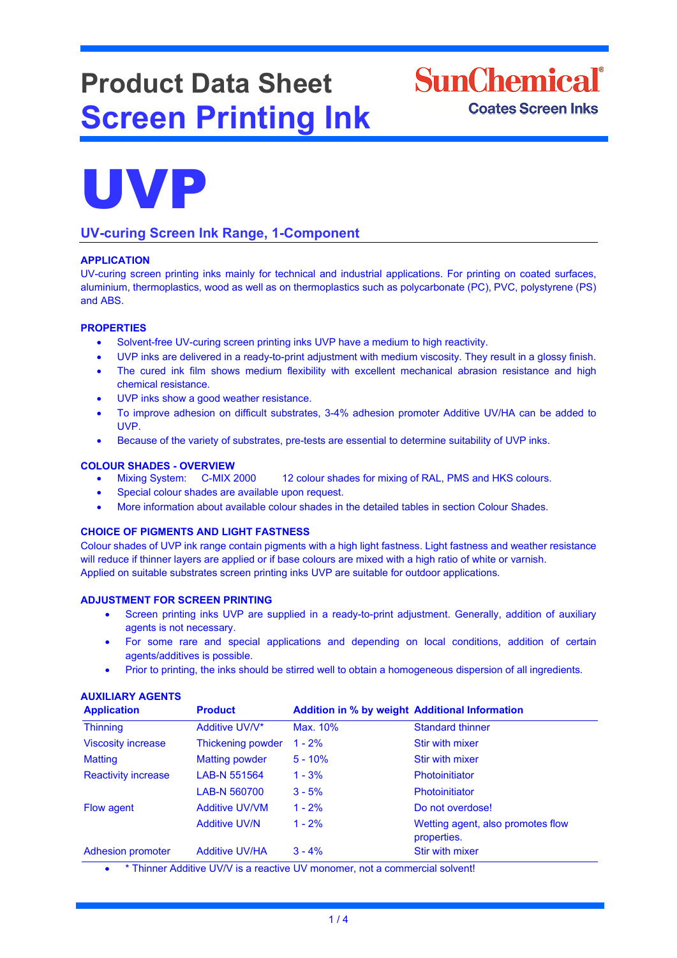# **Product Data Sheet Screen Printing Ink**





## **UV-curing Screen Ink Range, 1-Component**

### **APPLICATION**

UV-curing screen printing inks mainly for technical and industrial applications. For printing on coated surfaces, aluminium, thermoplastics, wood as well as on thermoplastics such as polycarbonate (PC), PVC, polystyrene (PS) and ABS.

#### **PROPERTIES**

- Solvent-free UV-curing screen printing inks UVP have a medium to high reactivity.
- UVP inks are delivered in a ready-to-print adjustment with medium viscosity. They result in a glossy finish.
- The cured ink film shows medium flexibility with excellent mechanical abrasion resistance and high chemical resistance.
- UVP inks show a good weather resistance.
- To improve adhesion on difficult substrates, 3-4% adhesion promoter Additive UV/HA can be added to UVP.
- Because of the variety of substrates, pre-tests are essential to determine suitability of UVP inks.

#### **COLOUR SHADES - OVERVIEW**

- Mixing System: C-MIX 2000 12 colour shades for mixing of RAL, PMS and HKS colours.
- Special colour shades are available upon request.
- More information about available colour shades in the detailed tables in section Colour Shades.

#### **CHOICE OF PIGMENTS AND LIGHT FASTNESS**

Colour shades of UVP ink range contain pigments with a high light fastness. Light fastness and weather resistance will reduce if thinner layers are applied or if base colours are mixed with a high ratio of white or varnish. Applied on suitable substrates screen printing inks UVP are suitable for outdoor applications.

#### **ADJUSTMENT FOR SCREEN PRINTING**

- Screen printing inks UVP are supplied in a ready-to-print adjustment. Generally, addition of auxiliary agents is not necessary.
- For some rare and special applications and depending on local conditions, addition of certain agents/additives is possible.
- Prior to printing, the inks should be stirred well to obtain a homogeneous dispersion of all ingredients.

#### **AUXILIARY AGENTS**

| <b>Application</b>         | <b>Product</b>        | <b>Addition in % by weight Additional Information</b> |                                                  |
|----------------------------|-----------------------|-------------------------------------------------------|--------------------------------------------------|
| <b>Thinning</b>            | Additive UV/V*        | Max. 10%                                              | <b>Standard thinner</b>                          |
| <b>Viscosity increase</b>  | Thickening powder     | $1 - 2%$                                              | Stir with mixer                                  |
| <b>Matting</b>             | <b>Matting powder</b> | $5 - 10%$                                             | Stir with mixer                                  |
| <b>Reactivity increase</b> | LAB-N 551564          | $1 - 3%$                                              | Photoinitiator                                   |
|                            | LAB-N 560700          | $3 - 5%$                                              | Photoinitiator                                   |
| Flow agent                 | <b>Additive UV/VM</b> | $1 - 2%$                                              | Do not overdose!                                 |
|                            | <b>Additive UV/N</b>  | $1 - 2%$                                              | Wetting agent, also promotes flow<br>properties. |
| <b>Adhesion promoter</b>   | <b>Additive UV/HA</b> | $3 - 4%$                                              | <b>Stir with mixer</b>                           |

• \* Thinner Additive UV/V is a reactive UV monomer, not a commercial solvent!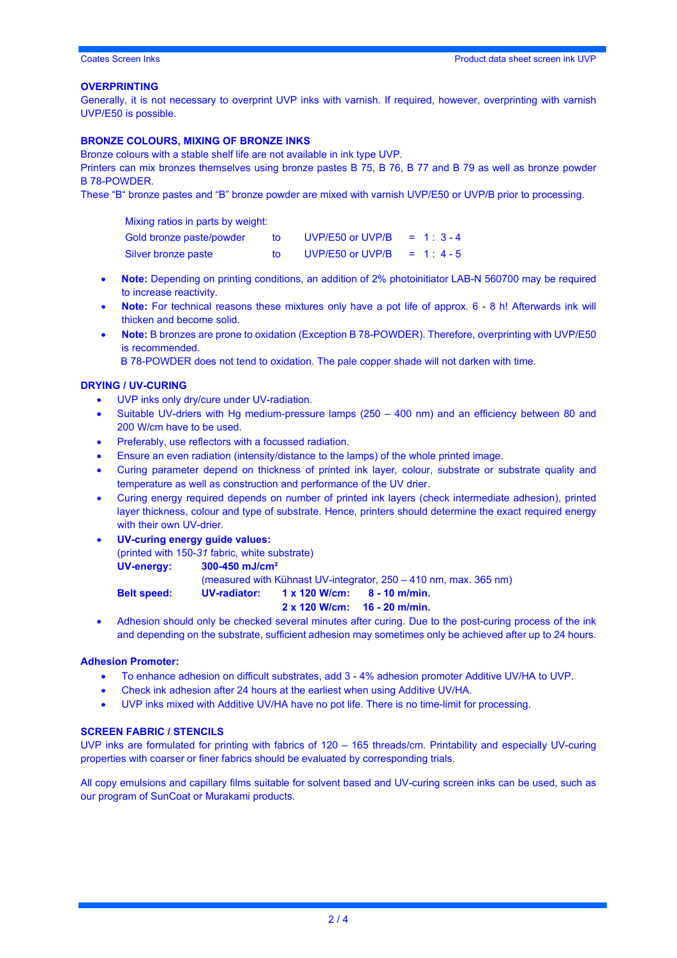#### **OVERPRINTING**

Generally, it is not necessary to overprint UVP inks with varnish. If required, however, overprinting with varnish UVP/E50 is possible.

#### **BRONZE COLOURS, MIXING OF BRONZE INKS**

Bronze colours with a stable shelf life are not available in ink type UVP.

Printers can mix bronzes themselves using bronze pastes B 75, B 76, B 77 and B 79 as well as bronze powder B 78-POWDER.

These "B" bronze pastes and "B" bronze powder are mixed with varnish UVP/E50 or UVP/B prior to processing.

Mixing ratios in parts by weight: Gold bronze paste/powder to UVP/E50 or UVP/B = 1:3-4 Silver bronze paste to UVP/E50 or UVP/B =  $1:4-5$ 

- **Note:** Depending on printing conditions, an addition of 2% photoinitiator LAB-N 560700 may be required to increase reactivity.
- **Note:** For technical reasons these mixtures only have a pot life of approx. 6 8 h! Afterwards ink will thicken and become solid.
- **Note:** B bronzes are prone to oxidation (Exception B 78-POWDER). Therefore, overprinting with UVP/E50 is recommended.

B 78-POWDER does not tend to oxidation. The pale copper shade will not darken with time.

#### **DRYING / UV-CURING**

- UVP inks only dry/cure under UV-radiation.
- Suitable UV-driers with Hg medium-pressure lamps (250 400 nm) and an efficiency between 80 and 200 W/cm have to be used.
- Preferably, use reflectors with a focussed radiation.
- Ensure an even radiation (intensity/distance to the lamps) of the whole printed image.
- Curing parameter depend on thickness of printed ink layer, colour, substrate or substrate quality and temperature as well as construction and performance of the UV drier.
- Curing energy required depends on number of printed ink layers (check intermediate adhesion), printed layer thickness, colour and type of substrate. Hence, printers should determine the exact required energy with their own UV-drier.
- **UV-curing energy guide values:**

(printed with 150-*31* fabric*,* white substrate)

**UV-energy: 300-450 mJ/cm²**

(measured with Kühnast UV-integrator, 250 – 410 nm, max. 365 nm)

**Belt speed: UV-radiator: 1 x 120 W/cm: 8 - 10 m/min.**

#### **2 x 120 W/cm: 16 - 20 m/min.**

• Adhesion should only be checked several minutes after curing. Due to the post-curing process of the ink and depending on the substrate, sufficient adhesion may sometimes only be achieved after up to 24 hours.

#### **Adhesion Promoter:**

- To enhance adhesion on difficult substrates, add 3 4% adhesion promoter Additive UV/HA to UVP.
- Check ink adhesion after 24 hours at the earliest when using Additive UV/HA.
- UVP inks mixed with Additive UV/HA have no pot life. There is no time-limit for processing.

#### **SCREEN FABRIC / STENCILS**

UVP inks are formulated for printing with fabrics of 120 – 165 threads/cm. Printability and especially UV-curing properties with coarser or finer fabrics should be evaluated by corresponding trials.

All copy emulsions and capillary films suitable for solvent based and UV-curing screen inks can be used, such as our program of SunCoat or Murakami products.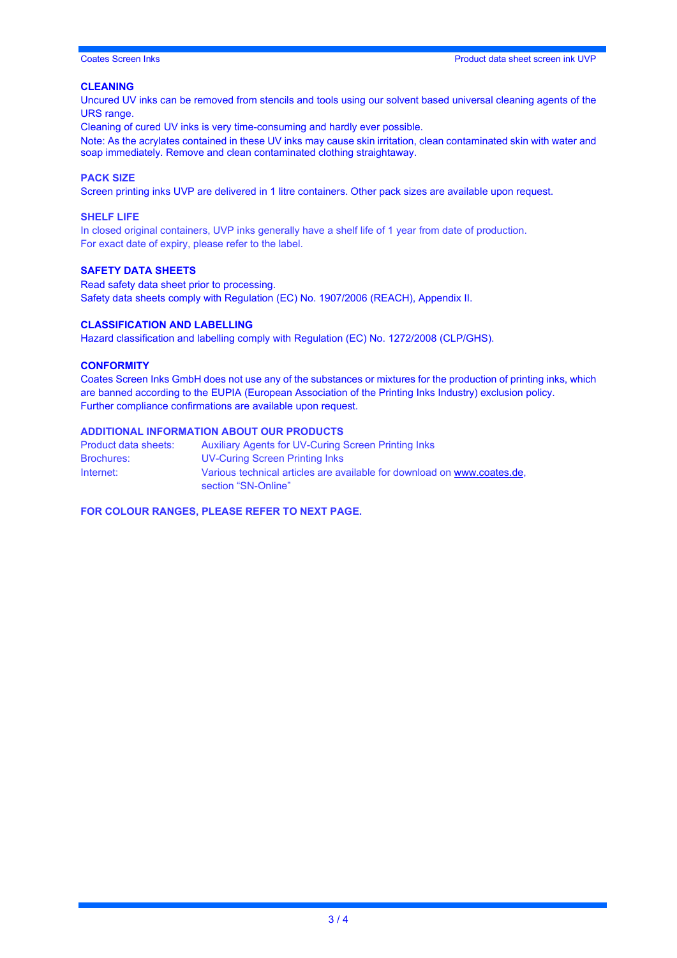#### **CLEANING**

Uncured UV inks can be removed from stencils and tools using our solvent based universal cleaning agents of the URS range.

Cleaning of cured UV inks is very time-consuming and hardly ever possible.

Note: As the acrylates contained in these UV inks may cause skin irritation, clean contaminated skin with water and soap immediately. Remove and clean contaminated clothing straightaway.

#### **PACK SIZE**

Screen printing inks UVP are delivered in 1 litre containers. Other pack sizes are available upon request.

#### **SHELF LIFE**

In closed original containers, UVP inks generally have a shelf life of 1 year from date of production. For exact date of expiry, please refer to the label.

#### **SAFETY DATA SHEETS**

Read safety data sheet prior to processing. Safety data sheets comply with Regulation (EC) No. 1907/2006 (REACH), Appendix II.

#### **CLASSIFICATION AND LABELLING**

Hazard classification and labelling comply with Regulation (EC) No. 1272/2008 (CLP/GHS).

#### **CONFORMITY**

Coates Screen Inks GmbH does not use any of the substances or mixtures for the production of printing inks, which are banned according to the EUPIA (European Association of the Printing Inks Industry) exclusion policy. Further compliance confirmations are available upon request.

### **ADDITIONAL INFORMATION ABOUT OUR PRODUCTS**

| Product data sheets: | Auxiliary Agents for UV-Curing Screen Printing Inks                                            |  |
|----------------------|------------------------------------------------------------------------------------------------|--|
| <b>Brochures:</b>    | UV-Curing Screen Printing Inks                                                                 |  |
| Internet:            | Various technical articles are available for download on www.coates.de.<br>section "SN-Online" |  |

**FOR COLOUR RANGES, PLEASE REFER TO NEXT PAGE.**